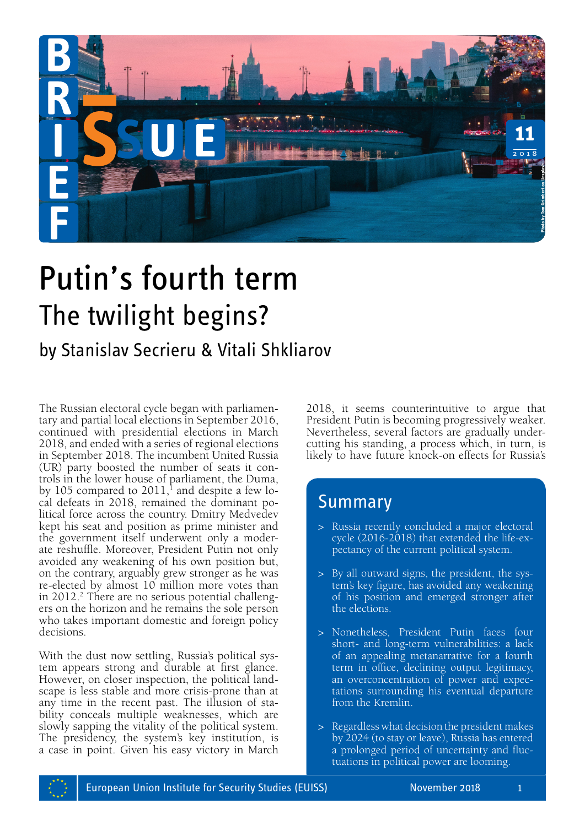

# Putin's fourth term The twilight begins?

# by Stanislav Secrieru & Vitali Shkliarov

The Russian electoral cycle began with parliamentary and partial local elections in September 2016, continued with presidential elections in March 2018, and ended with a series of regional elections in September 2018. The incumbent United Russia (UR) party boosted the number of seats it controls in the lower house of parliament, the Duma, by 105 compared to 2011, $^1$  and despite a few local defeats in 2018, remained the dominant political force across the country. Dmitry Medvedev kept his seat and position as prime minister and the government itself underwent only a moderate reshuffle. Moreover, President Putin not only avoided any weakening of his own position but, on the contrary, arguably grew stronger as he was re-elected by almost 10 million more votes than in 2012.<sup>2</sup> There are no serious potential challengers on the horizon and he remains the sole person who takes important domestic and foreign policy decisions.

With the dust now settling, Russia's political system appears strong and durable at first glance. However, on closer inspection, the political landscape is less stable and more crisis-prone than at any time in the recent past. The illusion of stability conceals multiple weaknesses, which are slowly sapping the vitality of the political system. The presidency, the system's key institution, is a case in point. Given his easy victory in March 2018, it seems counterintuitive to argue that President Putin is becoming progressively weaker. Nevertheless, several factors are gradually undercutting his standing, a process which, in turn, is likely to have future knock-on effects for Russia's

## Summary

- > Russia recently concluded a major electoral cycle (2016-2018) that extended the life-expectancy of the current political system.
- > By all outward signs, the president, the system's key figure, has avoided any weakening of his position and emerged stronger after the elections.
- > Nonetheless, President Putin faces four short- and long-term vulnerabilities: a lack of an appealing metanarrative for a fourth term in office, declining output legitimacy, an overconcentration of power and expectations surrounding his eventual departure from the Kremlin.
- > Regardless what decision the president makes by 2024 (to stay or leave), Russia has entered a prolonged period of uncertainty and fluctuations in political power are looming.

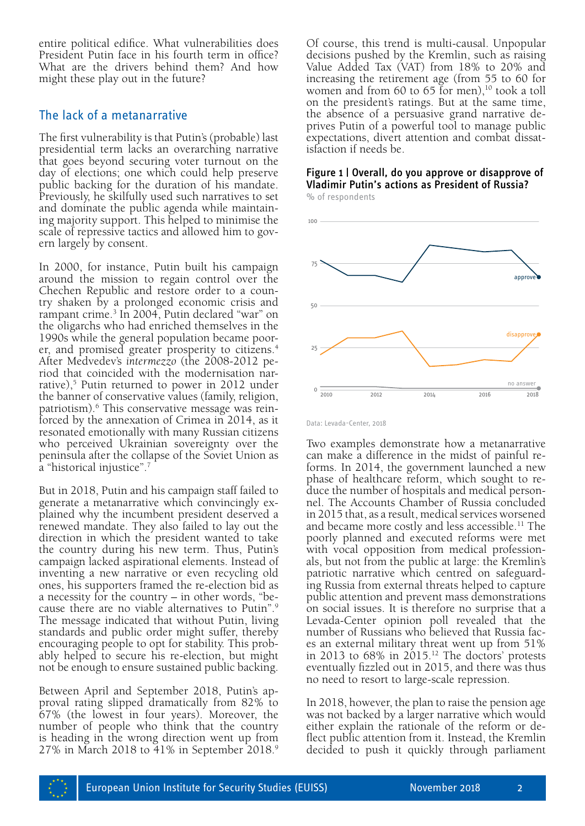entire political edifice. What vulnerabilities does President Putin face in his fourth term in office? What are the drivers behind them? And how might these play out in the future?

#### The lack of a metanarrative

The first vulnerability is that Putin's (probable) last presidential term lacks an overarching narrative that goes beyond securing voter turnout on the day of elections; one which could help preserve public backing for the duration of his mandate. Previously, he skilfully used such narratives to set and dominate the public agenda while maintaining majority support. This helped to minimise the scale of repressive tactics and allowed him to govern largely by consent.

In 2000, for instance, Putin built his campaign around the mission to regain control over the Chechen Republic and restore order to a country shaken by a prolonged economic crisis and rampant crime.3 In 2004, Putin declared "war" on the oligarchs who had enriched themselves in the 1990s while the general population became poorer, and promised greater prosperity to citizens.<sup>4</sup> After Medvedev's *intermezzo* (the 2008-2012 period that coincided with the modernisation narrative),5 Putin returned to power in 2012 under the banner of conservative values (family, religion, patriotism).<sup>6</sup> This conservative message was reinforced by the annexation of Crimea in 2014, as it resonated emotionally with many Russian citizens who perceived Ukrainian sovereignty over the peninsula after the collapse of the Soviet Union as a "historical injustice".7

But in 2018, Putin and his campaign staff failed to generate a metanarrative which convincingly explained why the incumbent president deserved a renewed mandate. They also failed to lay out the direction in which the president wanted to take the country during his new term. Thus, Putin's campaign lacked aspirational elements. Instead of inventing a new narrative or even recycling old ones, his supporters framed the re-election bid as a necessity for the country – in other words, "because there are no viable alternatives to Putin".9 The message indicated that without Putin, living standards and public order might suffer, thereby encouraging people to opt for stability. This probably helped to secure his re-election, but might not be enough to ensure sustained public backing.

Between April and September 2018, Putin's approval rating slipped dramatically from 82% to 67% (the lowest in four years). Moreover, the number of people who think that the country is heading in the wrong direction went up from 27% in March 2018 to 41% in September 2018.9 Of course, this trend is multi-causal. Unpopular decisions pushed by the Kremlin, such as raising Value Added Tax (VAT) from 18% to 20% and increasing the retirement age (from 55 to 60 for women and from 60 to 65 for men), $10$  took a toll on the president's ratings. But at the same time, the absence of a persuasive grand narrative deprives Putin of a powerful tool to manage public expectations, divert attention and combat dissatisfaction if needs be.

#### Figure 1 | Overall, do you approve or disapprove of Vladimir Putin's actions as President of Russia? % of respondents



Data: Levada-Center, 2018

Two examples demonstrate how a metanarrative can make a difference in the midst of painful reforms. In 2014, the government launched a new phase of healthcare reform, which sought to reduce the number of hospitals and medical personnel. The Accounts Chamber of Russia concluded in 2015 that, as a result, medical services worsened and became more costly and less accessible.<sup>11</sup> The poorly planned and executed reforms were met with vocal opposition from medical professionals, but not from the public at large: the Kremlin's patriotic narrative which centred on safeguarding Russia from external threats helped to capture public attention and prevent mass demonstrations on social issues. It is therefore no surprise that a Levada-Center opinion poll revealed that the number of Russians who believed that Russia faces an external military threat went up from 51% in 2013 to  $68\%$  in  $2015$ .<sup>12</sup> The doctors' protests eventually fizzled out in 2015, and there was thus no need to resort to large-scale repression.

In 2018, however, the plan to raise the pension age was not backed by a larger narrative which would either explain the rationale of the reform or deflect public attention from it. Instead, the Kremlin decided to push it quickly through parliament

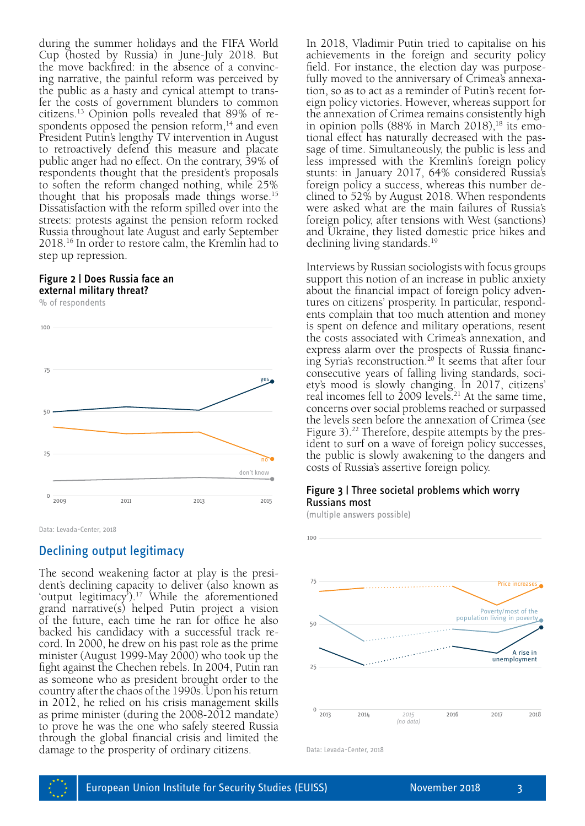during the summer holidays and the FIFA World Cup (hosted by Russia) in June-July 2018. But the move backfired: in the absence of a convincing narrative, the painful reform was perceived by the public as a hasty and cynical attempt to transfer the costs of government blunders to common citizens.13 Opinion polls revealed that 89% of respondents opposed the pension reform, $14$  and even President Putin's lengthy TV intervention in August to retroactively defend this measure and placate public anger had no effect. On the contrary, 39% of respondents thought that the president's proposals to soften the reform changed nothing, while 25% thought that his proposals made things worse.15 Dissatisfaction with the reform spilled over into the streets: protests against the pension reform rocked Russia throughout late August and early September 2018.16 In order to restore calm, the Kremlin had to step up repression.

#### Figure 2 | Does Russia face an external military threat?

% of respondents



Data: Levada-Center, 2018

### Declining output legitimacy

The second weakening factor at play is the president's declining capacity to deliver (also known as 'output legitimacy').17 While the aforementioned grand narrative(s) helped Putin project a vision of the future, each time he ran for office he also backed his candidacy with a successful track record. In 2000, he drew on his past role as the prime minister (August 1999-May 2000) who took up the fight against the Chechen rebels. In 2004, Putin ran as someone who as president brought order to the country after the chaos of the 1990s. Upon his return in 2012, he relied on his crisis management skills as prime minister (during the 2008-2012 mandate) to prove he was the one who safely steered Russia through the global financial crisis and limited the damage to the prosperity of ordinary citizens.

In 2018, Vladimir Putin tried to capitalise on his achievements in the foreign and security policy field. For instance, the election day was purposefully moved to the anniversary of Crimea's annexation, so as to act as a reminder of Putin's recent foreign policy victories. However, whereas support for the annexation of Crimea remains consistently high in opinion polls  $(88\%$  in March  $2018)$ ,<sup>18</sup> its emotional effect has naturally decreased with the passage of time. Simultaneously, the public is less and less impressed with the Kremlin's foreign policy stunts: in January 2017, 64% considered Russia's foreign policy a success, whereas this number declined to 52% by August 2018. When respondents were asked what are the main failures of Russia's foreign policy, after tensions with West (sanctions) and Ukraine, they listed domestic price hikes and declining living standards.<sup>19</sup>

Interviews by Russian sociologists with focus groups support this notion of an increase in public anxiety about the financial impact of foreign policy adventures on citizens' prosperity. In particular, respondents complain that too much attention and money is spent on defence and military operations, resent the costs associated with Crimea's annexation, and express alarm over the prospects of Russia financing Syria's reconstruction.20 It seems that after four consecutive years of falling living standards, society's mood is slowly changing. In 2017, citizens' real incomes fell to 2009 levels.21 At the same time, concerns over social problems reached or surpassed the levels seen before the annexation of Crimea (see Figure 3).<sup>22</sup> Therefore, despite attempts by the president to surf on a wave of foreign policy successes, the public is slowly awakening to the dangers and costs of Russia's assertive foreign policy.

#### Figure 3 | Three societal problems which worry Russians most

(multiple answers possible)



Data: Levada-Center, 2018

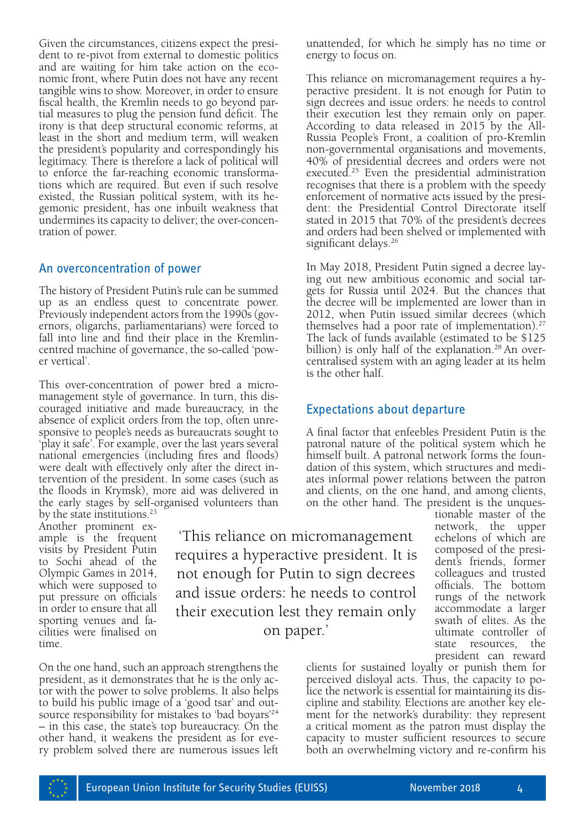Given the circumstances, citizens expect the president to re-pivot from external to domestic politics and are waiting for him take action on the economic front, where Putin does not have any recent tangible wins to show. Moreover, in order to ensure fiscal health, the Kremlin needs to go beyond partial measures to plug the pension fund deficit. The irony is that deep structural economic reforms, at least in the short and medium term, will weaken the president's popularity and correspondingly his legitimacy. There is therefore a lack of political will to enforce the far-reaching economic transformations which are required. But even if such resolve existed, the Russian political system, with its hegemonic president, has one inbuilt weakness that undermines its capacity to deliver; the over-concentration of power.

#### An overconcentration of power

The history of President Putin's rule can be summed up as an endless quest to concentrate power. Previously independent actors from the 1990s (governors, oligarchs, parliamentarians) were forced to fall into line and find their place in the Kremlincentred machine of governance, the so-called 'power vertical'.

This over-concentration of power bred a micromanagement style of governance. In turn, this discouraged initiative and made bureaucracy, in the absence of explicit orders from the top, often unresponsive to people's needs as bureaucrats sought to 'play it safe'. For example, over the last years several national emergencies (including fires and floods) were dealt with effectively only after the direct intervention of the president. In some cases (such as the floods in Krymsk), more aid was delivered in the early stages by self-organised volunteers than

by the state institutions.<sup>23</sup> Another prominent ex ample is the frequent visits by President Putin to Sochi ahead of the Olympic Games in 2014, which were supposed to put pressure on officials in order to ensure that all sporting venues and facilities were finalised on time.

'This reliance on micromanagement requires a hyperactive president. It is not enough for Putin to sign decrees and issue orders: he needs to control their execution lest they remain only on paper.'

On the one hand, such an approach strengthens the president, as it demonstrates that he is the only actor with the power to solve problems. It also helps to build his public image of a 'good tsar' and outsource responsibility for mistakes to 'bad boyars'24 – in this case, the state's top bureaucracy. On the other hand, it weakens the president as for every problem solved there are numerous issues left unattended, for which he simply has no time or energy to focus on.

This reliance on micromanagement requires a hyperactive president. It is not enough for Putin to sign decrees and issue orders: he needs to control their execution lest they remain only on paper. According to data released in 2015 by the All-Russia People's Front, a coalition of pro-Kremlin non-governmental organisations and movements, 40% of presidential decrees and orders were not executed.25 Even the presidential administration recognises that there is a problem with the speedy enforcement of normative acts issued by the president: the Presidential Control Directorate itself stated in 2015 that 70% of the president's decrees and orders had been shelved or implemented with significant delays.<sup>26</sup>

In May 2018, President Putin signed a decree laying out new ambitious economic and social targets for Russia until 2024. But the chances that the decree will be implemented are lower than in 2012, when Putin issued similar decrees (which themselves had a poor rate of implementation). $27$ The lack of funds available (estimated to be \$125 billion) is only half of the explanation.<sup>28</sup> An overcentralised system with an aging leader at its helm is the other half.

## Expectations about departure

A final factor that enfeebles President Putin is the patronal nature of the political system which he himself built. A patronal network forms the foundation of this system, which structures and mediates informal power relations between the patron and clients, on the one hand, and among clients, on the other hand. The president is the unques-

tionable master of the network, the upper echelons of which are composed of the president's friends, former colleagues and trusted officials. The bottom rungs of the network accommodate a larger swath of elites. As the ultimate controller of state resources, the president can reward

clients for sustained loyalty or punish them for perceived disloyal acts. Thus, the capacity to police the network is essential for maintaining its discipline and stability. Elections are another key element for the network's durability: they represent a critical moment as the patron must display the capacity to muster sufficient resources to secure both an overwhelming victory and re-confirm his

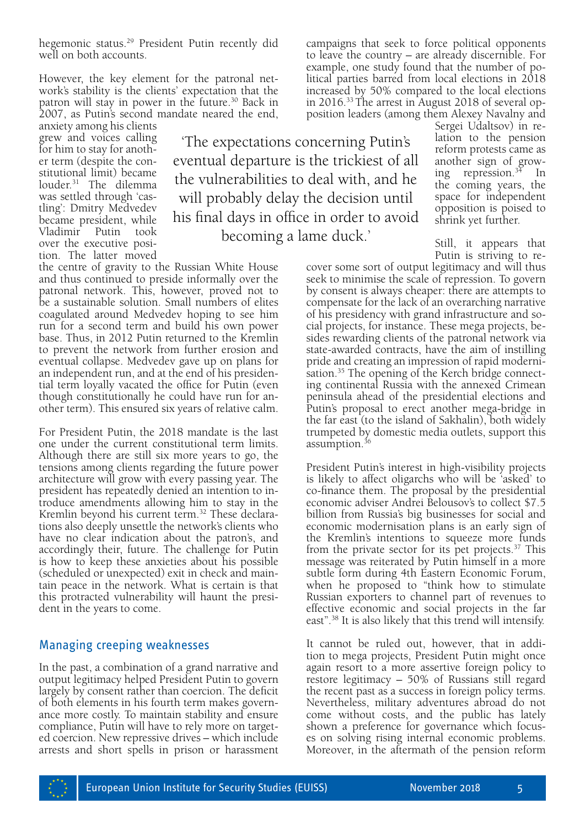hegemonic status.<sup>29</sup> President Putin recently did well on both accounts.

However, the key element for the patronal network's stability is the clients' expectation that the patron will stay in power in the future.<sup>30</sup> Back in 2007, as Putin's second mandate neared the end,

anxiety among his clients grew and voices calling for him to stay for another term (despite the constitutional limit) became louder.31 The dilemma was settled through 'castling': Dmitry Medvedev became president, while Vladimir Putin took over the executive position. The latter moved

'The expectations concerning Putin's eventual departure is the trickiest of all the vulnerabilities to deal with, and he will probably delay the decision until his final days in office in order to avoid becoming a lame duck.'

the centre of gravity to the Russian White House and thus continued to preside informally over the patronal network. This, however, proved not to be a sustainable solution. Small numbers of elites coagulated around Medvedev hoping to see him run for a second term and build his own power base. Thus, in 2012 Putin returned to the Kremlin to prevent the network from further erosion and eventual collapse. Medvedev gave up on plans for an independent run, and at the end of his presidential term loyally vacated the office for Putin (even though constitutionally he could have run for another term). This ensured six years of relative calm.

For President Putin, the 2018 mandate is the last one under the current constitutional term limits. Although there are still six more years to go, the tensions among clients regarding the future power architecture will grow with every passing year. The troduce amendments allowing him to stay in the Kremlin beyond his current term.<sup>32</sup> These declarations also deeply unsettle the network's clients who have no clear indication about the patron's, and accordingly their, future. The challenge for Putin is how to keep these anxieties about his possible (scheduled or unexpected) exit in check and maintain peace in the network. What is certain is that this protracted vulnerability will haunt the president in the years to come.

#### Managing creeping weaknesses

In the past, a combination of a grand narrative and output legitimacy helped President Putin to govern largely by consent rather than coercion. The deficit of both elements in his fourth term makes governance more costly. To maintain stability and ensure compliance, Putin will have to rely more on targeted coercion. New repressive drives – which include arrests and short spells in prison or harassment

campaigns that seek to force political opponents to leave the country – are already discernible. For example, one study found that the number of political parties barred from local elections in 2018 increased by 50% compared to the local elections in 2016.33 The arrest in August 2018 of several opposition leaders (among them Alexey Navalny and

Sergei Udaltsov) in relation to the pension reform protests came as another sign of growing repression. $3\overline{4}$  In the coming years, the space for independent opposition is poised to shrink yet further.

Still, it appears that Putin is striving to re-

cover some sort of output legitimacy and will thus seek to minimise the scale of repression. To govern by consent is always cheaper: there are attempts to compensate for the lack of an overarching narrative of his presidency with grand infrastructure and social projects, for instance. These mega projects, besides rewarding clients of the patronal network via state-awarded contracts, have the aim of instilling pride and creating an impression of rapid modernisation.<sup>35</sup> The opening of the Kerch bridge connecting continental Russia with the annexed Crimean peninsula ahead of the presidential elections and Putin's proposal to erect another mega-bridge in the far east (to the island of Sakhalin), both widely trumpeted by domestic media outlets, support this assumption.<sup>36</sup>

President Putin's interest in high-visibility projects is likely to affect oligarchs who will be 'asked' to co-finance them. The proposal by the presidential economic adviser Andrei Belousov's to collect \$7.5 billion from Russia's big businesses for social and economic modernisation plans is an early sign of the Kremlin's intentions to squeeze more funds from the private sector for its pet projects. $37$  This message was reiterated by Putin himself in a more subtle form during 4th Eastern Economic Forum, when he proposed to "think how to stimulate Russian exporters to channel part of revenues to effective economic and social projects in the far east".38 It is also likely that this trend will intensify.

It cannot be ruled out, however, that in addition to mega projects, President Putin might once again resort to a more assertive foreign policy to restore legitimacy – 50% of Russians still regard the recent past as a success in foreign policy terms. Nevertheless, military adventures abroad do not come without costs, and the public has lately shown a preference for governance which focuses on solving rising internal economic problems. Moreover, in the aftermath of the pension reform

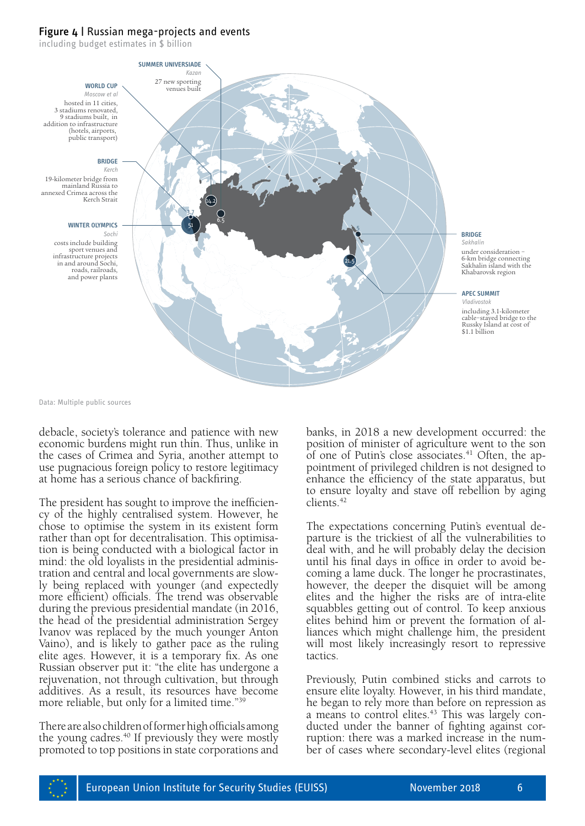#### Figure 4 | Russian mega-projects and events

including budget estimates in \$ billion



Data: Multiple public sources

debacle, society's tolerance and patience with new economic burdens might run thin. Thus, unlike in the cases of Crimea and Syria, another attempt to use pugnacious foreign policy to restore legitimacy at home has a serious chance of backfiring.

The president has sought to improve the inefficien-<br>cy of the highly centralised system. However, he chose to optimise the system in its existent form rather than opt for decentralisation. This optimisa- tion is being conducted with a biological factor in mind: the old loyalists in the presidential adminis- tration and central and local governments are slowly being replaced with younger (and expectedly more efficient) officials. The trend was observable during the previous presidential mandate (in 2016, the head of the presidential administration Sergey Ivanov was replaced by the much younger Anton Vaino), and is likely to gather pace as the ruling elite ages. However, it is a temporary fix. As one Russian observer put it: "the elite has undergone a rejuvenation, not through cultivation, but through additives. As a result, its resources have become more reliable, but only for a limited time."39

There are also children of former high officials among the young cadres. $40$  If previously they were mostly promoted to top positions in state corporations and banks, in 2018 a new development occurred: the position of minister of agriculture went to the son of one of Putin's close associates.<sup>41</sup> Often, the appointment of privileged children is not designed to enhance the efficiency of the state apparatus, but to ensure loyalty and stave off rebellion by aging clients.42

The expectations concerning Putin's eventual de- parture is the trickiest of all the vulnerabilities to deal with, and he will probably delay the decision until his final days in office in order to avoid be- coming a lame duck. The longer he procrastinates, however, the deeper the disquiet will be among elites and the higher the risks are of intra-elite squabbles getting out of control. To keep anxious elites behind him or prevent the formation of alliances which might challenge him, the president will most likely increasingly resort to repressive tactics.

Previously, Putin combined sticks and carrots to ensure elite loyalty. However, in his third mandate, he began to rely more than before on repression as a means to control elites.<sup>43</sup> This was largely conducted under the banner of fighting against corruption: there was a marked increase in the number of cases where secondary-level elites (regional

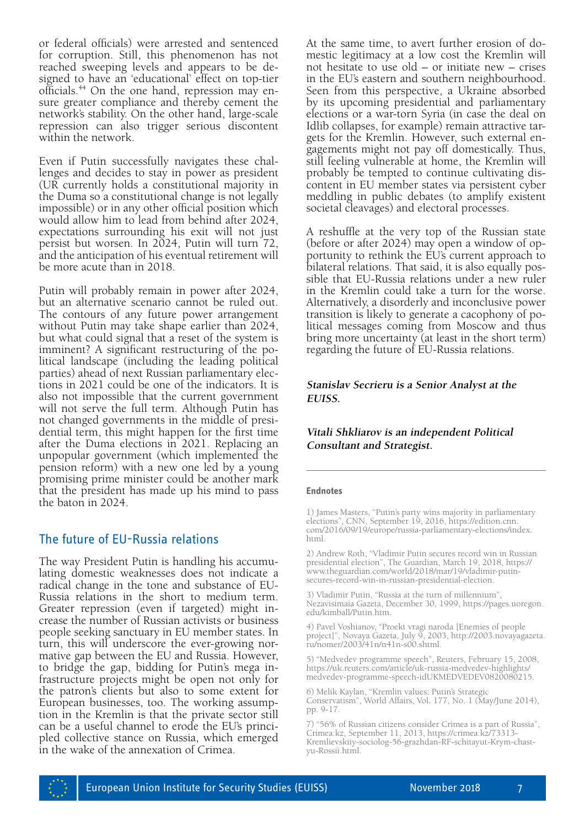or federal officials) were arrested and sentenced for corruption. Still, this phenomenon has not reached sweeping levels and appears to be designed to have an 'educational' effect on top-tier officials.44 On the one hand, repression may en- sure greater compliance and thereby cement the network's stability. On the other hand, large-scale repression can also trigger serious discontent within the network.

Even if Putin successfully navigates these chal- lenges and decides to stay in power as president (UR currently holds a constitutional majority in the Duma so a constitutional change is not legally impossible) or in any other official position which would allow him to lead from behind after 2024, expectations surrounding his exit will not just persist but worsen. In 2024, Putin will turn 72, and the anticipation of his eventual retirement will be more acute than in 2018.

Putin will probably remain in power after 2024, but an alternative scenario cannot be ruled out. The contours of any future power arrangement without Putin may take shape earlier than 2024, but what could signal that a reset of the system is imminent? A significant restructuring of the political landscape (including the leading political parties) ahead of next Russian parliamentary elections in 2021 could be one of the indicators. It is also not impossible that the current government will not serve the full term. Although Putin has not changed governments in the middle of presidential term, this might happen for the first time after the Duma elections in 2021. Replacing an unpopular government (which implemented the pension reform) with a new one led by a young promising prime minister could be another mark that the president has made up his mind to pass the baton in 2024.

### The future of EU-Russia relations

The way President Putin is handling his accumu- lating domestic weaknesses does not indicate a radical change in the tone and substance of EU-Russia relations in the short to medium term. Greater repression (even if targeted) might increase the number of Russian activists or business people seeking sanctuary in EU member states. In turn, this will underscore the ever-growing normative gap between the EU and Russia. However, to bridge the gap, bidding for Putin's mega infrastructure projects might be open not only for the patron's clients but also to some extent for European businesses, too. The working assumption in the Kremlin is that the private sector still can be a useful channel to erode the EU's principled collective stance on Russia, which emerged in the wake of the annexation of Crimea.

At the same time, to avert further erosion of domestic legitimacy at a low cost the Kremlin will not hesitate to use old – or initiate new – crises in the EU's eastern and southern neighbourhood. Seen from this perspective, a Ukraine absorbed by its upcoming presidential and parliamentary elections or a war-torn Syria (in case the deal on Idlib collapses, for example) remain attractive targets for the Kremlin. However, such external engagements might not pay off domestically. Thus, still feeling vulnerable at home, the Kremlin will probably be tempted to continue cultivating discontent in EU member states via persistent cyber meddling in public debates (to amplify existent societal cleavages) and electoral processes.

A reshuffle at the very top of the Russian state (before or after 2024) may open a window of opportunity to rethink the EU's current approach to bilateral relations. That said, it is also equally possible that EU-Russia relations under a new ruler in the Kremlin could take a turn for the worse. Alternatively, a disorderly and inconclusive power transition is likely to generate a cacophony of political messages coming from Moscow and thus bring more uncertainty (at least in the short term) regarding the future of EU-Russia relations.

#### **Stanislav Secrieru is a Senior Analyst at the EUISS.**

#### **Vitali Shkliarov is an independent Political Consultant and Strategist.**

#### **Endnotes**

1) James Masters, "Putin's party wins majority in parliamentary elections", CNN, September 19, 2016, [https://edition.cnn.](https://edition.cnn.com/2016/09/19/europe/russia-parliamentary-elections/index.html) [com/2016/09/19/europe/russia-parliamentary-elections/index.](https://edition.cnn.com/2016/09/19/europe/russia-parliamentary-elections/index.html) [html](https://edition.cnn.com/2016/09/19/europe/russia-parliamentary-elections/index.html).

2) Andrew Roth, "Vladimir Putin secures record win in Russian presidential election", The Guardian, March 19, 2018, [https://](https://www.theguardian.com/world/2018/mar/19/vladimir-putin-secures-record-win-in-russian-presidential-election) [www.theguardian.com/world/2018/mar/19/vladimir-putin](https://www.theguardian.com/world/2018/mar/19/vladimir-putin-secures-record-win-in-russian-presidential-election)[secures-record-win-in-russian-presidential-election.](https://www.theguardian.com/world/2018/mar/19/vladimir-putin-secures-record-win-in-russian-presidential-election)

3) Vladimir Putin, "Russia at the turn of millennium", Nezavisimaia Gazeta, December 30, 1999, [https://pages.uoregon.](https://pages.uoregon.edu/kimball/Putin.htm) [edu/kimball/Putin.htm](https://pages.uoregon.edu/kimball/Putin.htm).

4) Pavel Voshianov, "Proekt vragi naroda [Enemies of people project]", Novaya Gazeta, July 9, 2003, [http://2003.novayagazeta.](http://2003.novayagazeta.ru/nomer/2003/41n/n41n-s00.shtml) [ru/nomer/2003/41n/n41n-s00.shtml](http://2003.novayagazeta.ru/nomer/2003/41n/n41n-s00.shtml).

5) "Medvedev programme speech", Reuters, February 15, 2008, [https://uk.reuters.com/article/uk-russia-medvedev-highlights/](https://uk.reuters.com/article/uk-russia-medvedev-highlights/medvedev-programme-speech-idUKMEDVEDEV0820080215) [medvedev-programme-speech-idUKMEDVEDEV0820080215.](https://uk.reuters.com/article/uk-russia-medvedev-highlights/medvedev-programme-speech-idUKMEDVEDEV0820080215)

6) Melik Kaylan, "Kremlin values: Putin's Strategic Conservatism", World Affairs, Vol. 177, No. 1 (May/June 2014), pp. 9-17.

7) "56% of Russian citizens consider Crimea is a part of Russia", Crimea.kz, September 11, 2013, [https://crimea.kz/73313-](https://crimea.kz/73313-Kremlievskiiy-sociolog-56-grazhdan-RF-schitayut-Krym-chast-yu-Rossii.html) [Kremlievskiiy-sociolog-56-grazhdan-RF-schitayut-Krym-chast](https://crimea.kz/73313-Kremlievskiiy-sociolog-56-grazhdan-RF-schitayut-Krym-chast-yu-Rossii.html)[yu-Rossii.html.](https://crimea.kz/73313-Kremlievskiiy-sociolog-56-grazhdan-RF-schitayut-Krym-chast-yu-Rossii.html)